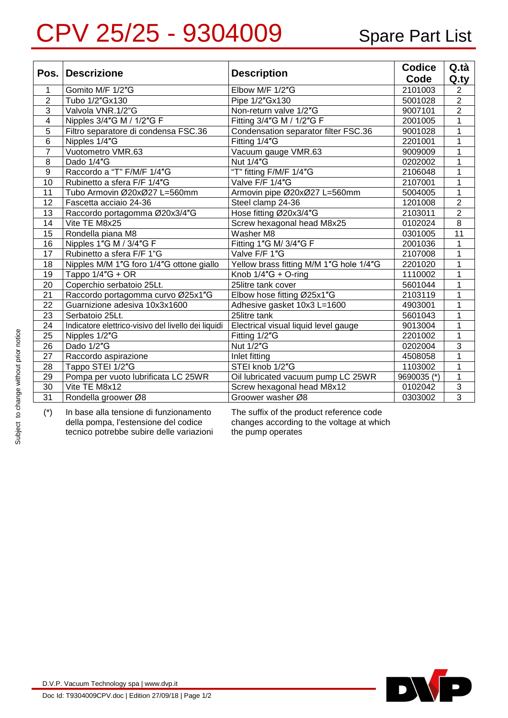## CPV 25/25 - 9304009 Spare Part List

| Pos.            | <b>Descrizione</b>                                  | <b>Description</b>                      | <b>Codice</b> | Q.tà           |
|-----------------|-----------------------------------------------------|-----------------------------------------|---------------|----------------|
|                 |                                                     |                                         | Code          | $Q_{\text{y}}$ |
| 1               | Gomito M/F 1/2"G                                    | Elbow M/F 1/2"G                         | 2101003       | $\overline{2}$ |
| $\overline{2}$  | Tubo 1/2"Gx130                                      | Pipe 1/2"Gx130                          | 5001028       | $\overline{2}$ |
| 3               | Valvola VNR.1/2"G                                   | Non-return valve 1/2"G                  | 9007101       | $\overline{2}$ |
| $\overline{4}$  | Nipples 3/4"G M / 1/2"G F                           | Fitting 3/4"G M / 1/2"G F               | 2001005       | $\overline{1}$ |
| $\overline{5}$  | Filtro separatore di condensa FSC.36                | Condensation separator filter FSC.36    | 9001028       | $\overline{1}$ |
| 6               | Nipples 1/4"G                                       | Fitting 1/4"G                           | 2201001       | $\mathbf{1}$   |
| $\overline{7}$  | Vuotometro VMR.63                                   | Vacuum gauge VMR.63                     | 9009009       | $\mathbf{1}$   |
| 8               | Dado 1/4"G                                          | Nut 1/4"G                               | 0202002       | $\mathbf{1}$   |
| 9               | Raccordo a "T" F/M/F 1/4"G                          | "T" fitting F/M/F 1/4"G                 | 2106048       | 1              |
| 10              | Rubinetto a sfera F/F 1/4"G                         | Valve F/F 1/4"G                         | 2107001       | 1              |
| 11              | Tubo Armovin Ø20xØ27 L=560mm                        | Armovin pipe Ø20xØ27 L=560mm            | 5004005       | 1              |
| 12              | Fascetta acciaio 24-36                              | Steel clamp 24-36                       | 1201008       | $\overline{2}$ |
| 13              | Raccordo portagomma Ø20x3/4"G                       | Hose fitting Ø20x3/4"G                  | 2103011       | $\overline{2}$ |
| 14              | Vite TE M8x25                                       | Screw hexagonal head M8x25              | 0102024       | $\overline{8}$ |
| 15              | Rondella piana M8                                   | Washer M8                               | 0301005       | 11             |
| 16              | Nipples 1"G M / 3/4"G F                             | Fitting 1"G M/ 3/4"G F                  | 2001036       | $\mathbf{1}$   |
| 17              | Rubinetto a sfera F/F 1"G                           | Valve F/F 1"G                           | 2107008       | $\overline{1}$ |
| 18              | Nipples M/M 1"G foro 1/4"G ottone giallo            | Yellow brass fitting M/M 1"G hole 1/4"G | 2201020       | 1              |
| 19              | Tappo $1/4"G + OR$                                  | Knob $1/4$ "G + O-ring                  | 1110002       | 1              |
| 20              | Coperchio serbatoio 25Lt.                           | 25litre tank cover                      | 5601044       | $\mathbf{1}$   |
| $\overline{21}$ | Raccordo portagomma curvo Ø25x1"G                   | Elbow hose fitting Ø25x1"G              | 2103119       | $\mathbf{1}$   |
| $\overline{22}$ | Guarnizione adesiva 10x3x1600                       | Adhesive gasket 10x3 L=1600             | 4903001       | 1              |
| 23              | Serbatoio 25Lt.                                     | 25litre tank                            | 5601043       | 1              |
| 24              | Indicatore elettrico-visivo del livello dei liquidi | Electrical visual liquid level gauge    | 9013004       | $\mathbf{1}$   |
| 25              | Nipples 1/2"G                                       | Fitting 1/2"G                           | 2201002       | $\overline{1}$ |
| 26              | Dado 1/2"G                                          | Nut 1/2"G                               | 0202004       | 3              |
| 27              | Raccordo aspirazione                                | Inlet fitting                           | 4508058       | 1              |
| 28              | Tappo STEI 1/2"G                                    | STEI knob 1/2"G                         | 1103002       | 1              |
| 29              | Pompa per vuoto lubrificata LC 25WR                 | Oil lubricated vacuum pump LC 25WR      | 9690035 (*)   | 1              |
| 30              | Vite TE M8x12                                       | Screw hexagonal head M8x12              | 0102042       | $\mathfrak{S}$ |
| $\overline{31}$ | Rondella groower Ø8                                 | Groower washer Ø8                       | 0303002       | $\overline{3}$ |

(\*) In base alla tensione di funzionamento della pompa, l'estensione del codice tecnico potrebbe subire delle variazioni The suffix of the product reference code changes according to the voltage at which the pump operates



D.V.P. Vacuum Technology spa | <www.dvp.it>